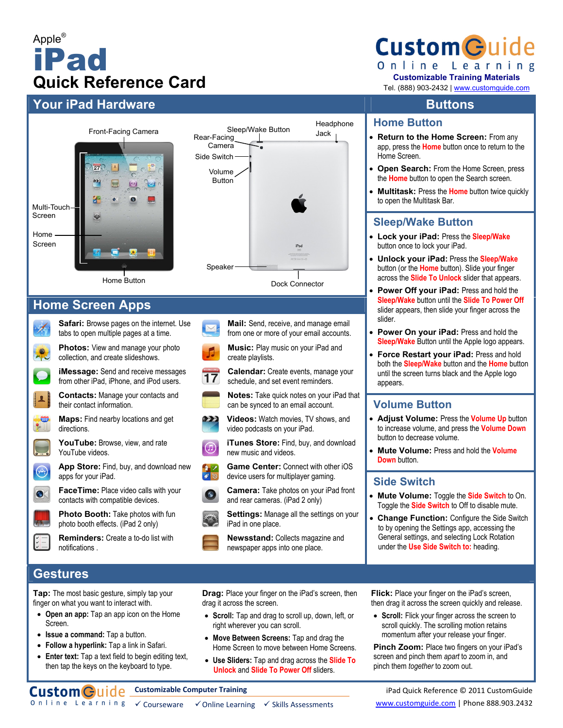# Apple® iPad **Quick Reference Card**

# **Your iPad Hardware and Southern Structure in the Buttons**  $\blacksquare$

Screen

Home Screen

A

 $\blacktriangle$ 

 $\bullet$ 

 $\bigcirc$ 

 $\bullet$ 



**Custom Guide** Online Learning

**Customizable Training Materials**

Tel. (888) 903-2432 | www.customguide.com

#### **Home Button**

- **Return to the Home Screen:** From any app, press the **Home** button once to return to the Home Screen.
- **Open Search:** From the Home Screen, press the **Home** button to open the Search screen.
- **Multitask:** Press the **Home** button twice quickly to open the Multitask Bar.

#### **Sleep/Wake Button**

- **Lock your iPad:** Press the **Sleep/Wake**  button once to lock your iPad.
- **Unlock your iPad:** Press the **Sleep/Wake**  button (or the **Home** button). Slide your finger across the **Slide To Unlock** slider that appears.
- **Power Off your iPad:** Press and hold the **Sleep/Wake** button until the **Slide To Power Off** slider appears, then slide your finger across the slider.
- **Power On your iPad:** Press and hold the **Sleep/Wake** Button until the Apple logo appears.
- **Force Restart your iPad:** Press and hold both the **Sleep/Wake** button and the **Home** button until the screen turns black and the Apple logo appears.

### **Volume Button**

- **Adjust Volume:** Press the **Volume Up** button to increase volume, and press the **Volume Down**  button to decrease volume.
- **Mute Volume:** Press and hold the **Volume Down** button.

### **Side Switch**

- **Mute Volume:** Toggle the **Side Switch** to On. Toggle the **Side Switch** to Off to disable mute.
- **Change Function:** Configure the Side Switch to by opening the Settings app, accessing the General settings, and selecting Lock Rotation under the **Use Side Switch to:** heading.

# **Gestures**

**Tap:** The most basic gesture, simply tap your finger on what you want to interact with.

- **Open an app:** Tap an app icon on the Home Screen.
- **Issue a command:** Tap a button.
- **Follow a hyperlink:** Tap a link in Safari.
- **Enter text:** Tap a text field to begin editing text, then tap the keys on the keyboard to type.

**Drag:** Place your finger on the iPad's screen, then drag it across the screen.

- **Scroll:** Tap and drag to scroll up, down, left, or right wherever you can scroll.
- **Move Between Screens:** Tap and drag the Home Screen to move between Home Screens.
- **Use Sliders:** Tap and drag across the **Slide To Unlock** and **Slide To Power Off** sliders.

**Flick:** Place your finger on the iPad's screen, then drag it across the screen quickly and release.

• **Scroll:** Flick your finger across the screen to scroll quickly. The scrolling motion retains momentum after your release your finger.

**Pinch Zoom:** Place two fingers on your iPad's screen and pinch them *apart* to zoom in, and pinch them *together* to zoom out.

**Customizable Computer Training**

iPad Quick Reference © 2011 CustomGuide www.customguide.com | Phone 888.903.2432